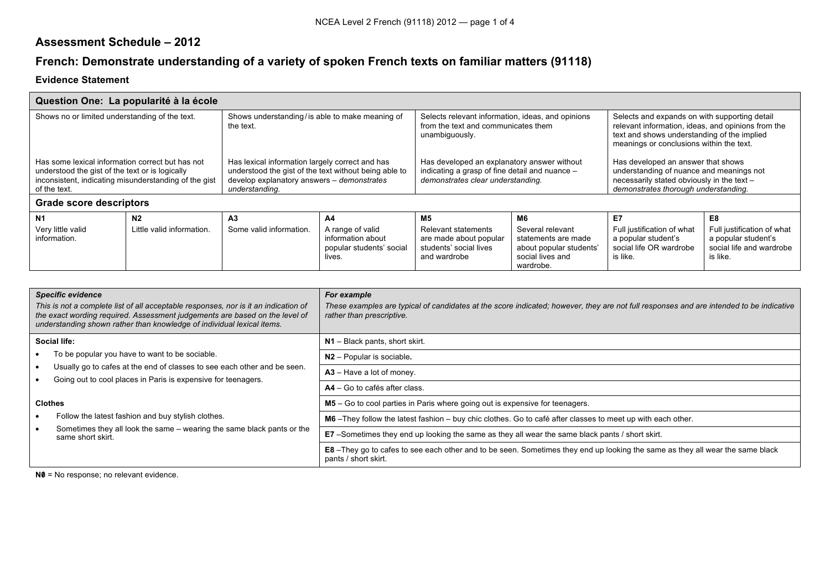## **Assessment Schedule – 2012**

## **French: Demonstrate understanding of a variety of spoken French texts on familiar matters (91118)**

## **Evidence Statement**

| Question One: La popularité à la école                                                                                                                                       |                                             |                                                                                                                                                                          |                                                                                   |                                                                                                                                    |                                                                                                           |                                                                                                                                                                                                |                                                                                                 |  |
|------------------------------------------------------------------------------------------------------------------------------------------------------------------------------|---------------------------------------------|--------------------------------------------------------------------------------------------------------------------------------------------------------------------------|-----------------------------------------------------------------------------------|------------------------------------------------------------------------------------------------------------------------------------|-----------------------------------------------------------------------------------------------------------|------------------------------------------------------------------------------------------------------------------------------------------------------------------------------------------------|-------------------------------------------------------------------------------------------------|--|
| Shows no or limited understanding of the text.                                                                                                                               |                                             | Shows understanding/ is able to make meaning of<br>the text.                                                                                                             |                                                                                   | Selects relevant information, ideas, and opinions<br>from the text and communicates them<br>unambiguously.                         |                                                                                                           | Selects and expands on with supporting detail<br>relevant information, ideas, and opinions from the<br>text and shows understanding of the implied<br>meanings or conclusions within the text. |                                                                                                 |  |
| Has some lexical information correct but has not<br>understood the gist of the text or is logically<br>inconsistent, indicating misunderstanding of the gist<br>of the text. |                                             | Has lexical information largely correct and has<br>understood the gist of the text without being able to<br>develop explanatory answers - demonstrates<br>understanding. |                                                                                   | Has developed an explanatory answer without<br>indicating a grasp of fine detail and nuance -<br>demonstrates clear understanding. |                                                                                                           | Has developed an answer that shows<br>understanding of nuance and meanings not<br>necessarily stated obviously in the text -<br>demonstrates thorough understanding.                           |                                                                                                 |  |
| <b>Grade score descriptors</b>                                                                                                                                               |                                             |                                                                                                                                                                          |                                                                                   |                                                                                                                                    |                                                                                                           |                                                                                                                                                                                                |                                                                                                 |  |
| N <sub>1</sub><br>Very little valid<br>information.                                                                                                                          | N <sub>2</sub><br>Little valid information. | A <sub>3</sub><br>Some valid information.                                                                                                                                | A4<br>A range of valid<br>information about<br>popular students' social<br>lives. | M5<br><b>Relevant statements</b><br>are made about popular<br>students' social lives<br>and wardrobe                               | M6<br>Several relevant<br>statements are made<br>about popular students'<br>social lives and<br>wardrobe. | E7<br>Full justification of what<br>a popular student's<br>social life OR wardrobe<br>is like.                                                                                                 | E8<br>Full justification of what<br>a popular student's<br>social life and wardrobe<br>is like. |  |

|                     | <b>Specific evidence</b><br>This is not a complete list of all acceptable responses, nor is it an indication of<br>the exact wording required. Assessment judgements are based on the level of<br>understanding shown rather than knowledge of individual lexical items. | For example<br>These examples are typical of candidates at the score indicated; however, they are not full responses and are intended to be indicative<br>rather than prescriptive. |
|---------------------|--------------------------------------------------------------------------------------------------------------------------------------------------------------------------------------------------------------------------------------------------------------------------|-------------------------------------------------------------------------------------------------------------------------------------------------------------------------------------|
| <b>Social life:</b> |                                                                                                                                                                                                                                                                          | $N1$ – Black pants, short skirt.                                                                                                                                                    |
|                     | To be popular you have to want to be sociable.                                                                                                                                                                                                                           | $N2$ – Popular is sociable.                                                                                                                                                         |
|                     | Usually go to cafes at the end of classes to see each other and be seen.<br>Going out to cool places in Paris is expensive for teenagers.                                                                                                                                | $A3 - Have$ a lot of money.                                                                                                                                                         |
|                     |                                                                                                                                                                                                                                                                          | $AA - Go$ to cafés after class.                                                                                                                                                     |
|                     | <b>Clothes</b>                                                                                                                                                                                                                                                           | M5 – Go to cool parties in Paris where going out is expensive for teenagers.                                                                                                        |
|                     | Follow the latest fashion and buy stylish clothes.                                                                                                                                                                                                                       | M6-They follow the latest fashion - buy chic clothes. Go to café after classes to meet up with each other.                                                                          |
|                     | Sometimes they all look the same – wearing the same black pants or the<br>same short skirt.                                                                                                                                                                              | <b>E7</b> –Sometimes they end up looking the same as they all wear the same black pants / short skirt.                                                                              |
|                     |                                                                                                                                                                                                                                                                          | E8 –They go to cafes to see each other and to be seen. Sometimes they end up looking the same as they all wear the same black<br>pants / short skirt.                               |

**N0** = No response; no relevant evidence.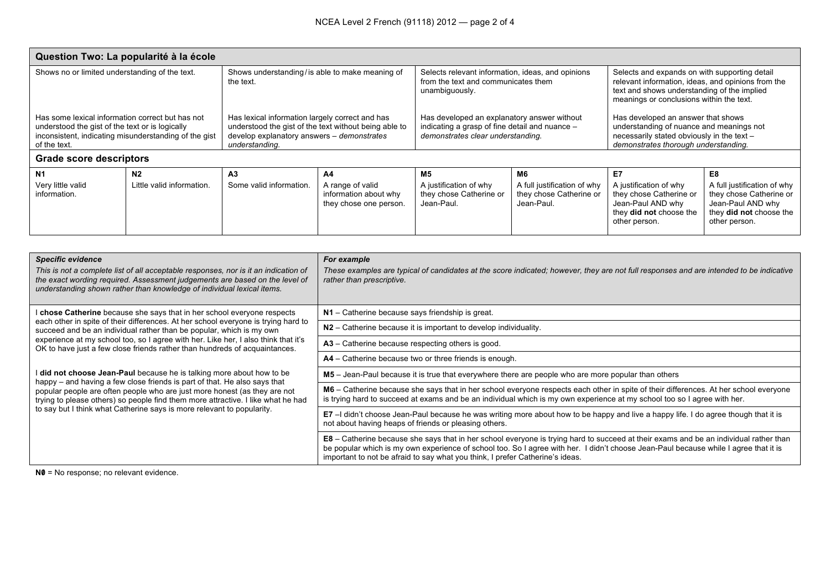| Question Two: La popularité à la école                                                                                                                                       |                                             |                                                                                                                                                                          |                                                 |                                                                                                                                    |                                       |                                                                                                                                                                                                |                                                                                          |  |
|------------------------------------------------------------------------------------------------------------------------------------------------------------------------------|---------------------------------------------|--------------------------------------------------------------------------------------------------------------------------------------------------------------------------|-------------------------------------------------|------------------------------------------------------------------------------------------------------------------------------------|---------------------------------------|------------------------------------------------------------------------------------------------------------------------------------------------------------------------------------------------|------------------------------------------------------------------------------------------|--|
| Shows no or limited understanding of the text.                                                                                                                               |                                             | Shows understanding/is able to make meaning of<br>the text.                                                                                                              |                                                 | Selects relevant information, ideas, and opinions<br>from the text and communicates them<br>unambiguously.                         |                                       | Selects and expands on with supporting detail<br>relevant information, ideas, and opinions from the<br>text and shows understanding of the implied<br>meanings or conclusions within the text. |                                                                                          |  |
| Has some lexical information correct but has not<br>understood the gist of the text or is logically<br>inconsistent, indicating misunderstanding of the gist<br>of the text. |                                             | Has lexical information largely correct and has<br>understood the gist of the text without being able to<br>develop explanatory answers - demonstrates<br>understanding. |                                                 | Has developed an explanatory answer without<br>indicating a grasp of fine detail and nuance -<br>demonstrates clear understanding. |                                       | Has developed an answer that shows<br>understanding of nuance and meanings not<br>necessarily stated obviously in the text -<br>demonstrates thorough understanding.                           |                                                                                          |  |
| <b>Grade score descriptors</b>                                                                                                                                               |                                             |                                                                                                                                                                          |                                                 |                                                                                                                                    |                                       |                                                                                                                                                                                                |                                                                                          |  |
| N <sub>1</sub><br>Very little valid                                                                                                                                          | N <sub>2</sub><br>Little valid information. | A3<br>Some valid information.                                                                                                                                            | A4<br>A range of valid                          | <b>M5</b><br>A justification of why                                                                                                | M6<br>A full justification of why     | E7<br>A justification of why                                                                                                                                                                   | E8<br>A full justification of why                                                        |  |
| information.                                                                                                                                                                 |                                             |                                                                                                                                                                          | information about why<br>they chose one person. | they chose Catherine or<br>Jean-Paul.                                                                                              | they chose Catherine or<br>Jean-Paul. | they chose Catherine or<br>Jean-Paul AND why<br>they did not choose the<br>other person.                                                                                                       | they chose Catherine or<br>Jean-Paul AND why<br>they did not choose the<br>other person. |  |

| <b>Specific evidence</b><br>This is not a complete list of all acceptable responses, nor is it an indication of<br>the exact wording required. Assessment judgements are based on the level of<br>understanding shown rather than knowledge of individual lexical items. | For example<br>These examples are typical of candidates at the score indicated; however, they are not full responses and are intended to be indicative<br>rather than prescriptive.                                                                                                                                                                            |
|--------------------------------------------------------------------------------------------------------------------------------------------------------------------------------------------------------------------------------------------------------------------------|----------------------------------------------------------------------------------------------------------------------------------------------------------------------------------------------------------------------------------------------------------------------------------------------------------------------------------------------------------------|
| chose Catherine because she says that in her school everyone respects                                                                                                                                                                                                    | $N1$ – Catherine because says friendship is great.                                                                                                                                                                                                                                                                                                             |
| each other in spite of their differences. At her school everyone is trying hard to<br>succeed and be an individual rather than be popular, which is my own                                                                                                               | N2 – Catherine because it is important to develop individuality.                                                                                                                                                                                                                                                                                               |
| experience at my school too, so I agree with her. Like her, I also think that it's<br>OK to have just a few close friends rather than hundreds of acquaintances.                                                                                                         | A3 - Catherine because respecting others is good.                                                                                                                                                                                                                                                                                                              |
|                                                                                                                                                                                                                                                                          | A4 – Catherine because two or three friends is enough.                                                                                                                                                                                                                                                                                                         |
| did not choose Jean-Paul because he is talking more about how to be<br>happy – and having a few close friends is part of that. He also says that                                                                                                                         | M5 - Jean-Paul because it is true that everywhere there are people who are more popular than others                                                                                                                                                                                                                                                            |
| popular people are often people who are just more honest (as they are not<br>trying to please others) so people find them more attractive. I like what he had                                                                                                            | M6 – Catherine because she says that in her school everyone respects each other in spite of their differences. At her school everyone<br>is trying hard to succeed at exams and be an individual which is my own experience at my school too so I agree with her.                                                                                              |
| to say but I think what Catherine says is more relevant to popularity.                                                                                                                                                                                                   | E7 - I didn't choose Jean-Paul because he was writing more about how to be happy and live a happy life. I do agree though that it is<br>not about having heaps of friends or pleasing others.                                                                                                                                                                  |
|                                                                                                                                                                                                                                                                          | E8 – Catherine because she says that in her school everyone is trying hard to succeed at their exams and be an individual rather than<br>be popular which is my own experience of school too. So I agree with her. I didn't choose Jean-Paul because while I agree that it is<br>important to not be afraid to say what you think, I prefer Catherine's ideas. |

**N0** = No response; no relevant evidence.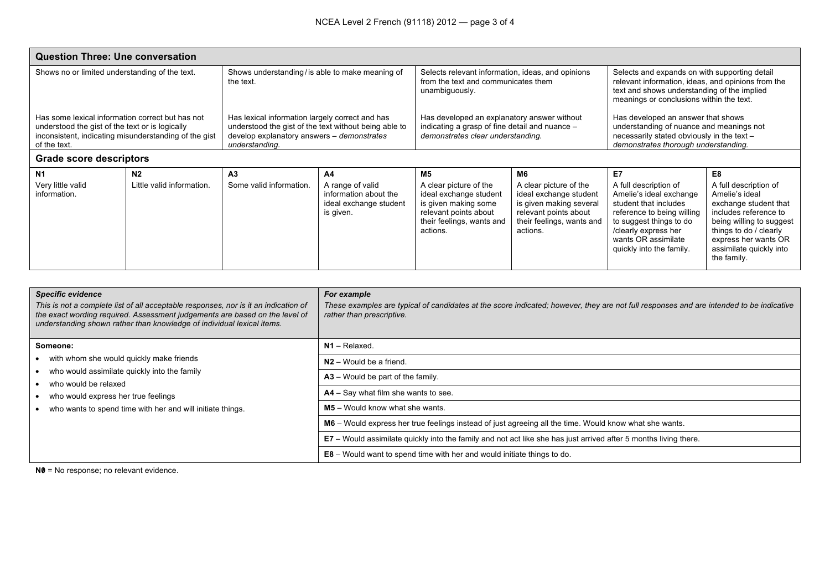| <b>Question Three: Une conversation</b>                                                                                                                                      |                           |                                                                                                                                                                          |                                                                                  |                                                                                                                                            |                                                                                                                                               |                                                                                                                                                                                                               |                                                                                                                                                                                                                   |  |
|------------------------------------------------------------------------------------------------------------------------------------------------------------------------------|---------------------------|--------------------------------------------------------------------------------------------------------------------------------------------------------------------------|----------------------------------------------------------------------------------|--------------------------------------------------------------------------------------------------------------------------------------------|-----------------------------------------------------------------------------------------------------------------------------------------------|---------------------------------------------------------------------------------------------------------------------------------------------------------------------------------------------------------------|-------------------------------------------------------------------------------------------------------------------------------------------------------------------------------------------------------------------|--|
| Shows no or limited understanding of the text.                                                                                                                               |                           | Shows understanding/ is able to make meaning of<br>the text.                                                                                                             |                                                                                  | Selects relevant information, ideas, and opinions<br>from the text and communicates them<br>unambiguously.                                 |                                                                                                                                               | Selects and expands on with supporting detail<br>relevant information, ideas, and opinions from the<br>text and shows understanding of the implied<br>meanings or conclusions within the text.                |                                                                                                                                                                                                                   |  |
| Has some lexical information correct but has not<br>understood the gist of the text or is logically<br>inconsistent, indicating misunderstanding of the gist<br>of the text. |                           | Has lexical information largely correct and has<br>understood the gist of the text without being able to<br>develop explanatory answers - demonstrates<br>understanding. |                                                                                  | Has developed an explanatory answer without<br>indicating a grasp of fine detail and nuance -<br>demonstrates clear understanding.         |                                                                                                                                               | Has developed an answer that shows<br>understanding of nuance and meanings not<br>necessarily stated obviously in the text -<br>demonstrates thorough understanding.                                          |                                                                                                                                                                                                                   |  |
| <b>Grade score descriptors</b>                                                                                                                                               |                           |                                                                                                                                                                          |                                                                                  |                                                                                                                                            |                                                                                                                                               |                                                                                                                                                                                                               |                                                                                                                                                                                                                   |  |
| N <sub>1</sub>                                                                                                                                                               | N <sub>2</sub>            | A3                                                                                                                                                                       | A4                                                                               | M5                                                                                                                                         | M6                                                                                                                                            | E7                                                                                                                                                                                                            | E8                                                                                                                                                                                                                |  |
| Very little valid<br>information.                                                                                                                                            | Little valid information. | Some valid information.                                                                                                                                                  | A range of valid<br>information about the<br>ideal exchange student<br>is given. | A clear picture of the<br>ideal exchange student<br>is given making some<br>relevant points about<br>their feelings, wants and<br>actions. | A clear picture of the<br>ideal exchange student<br>is given making several<br>relevant points about<br>their feelings, wants and<br>actions. | A full description of<br>Amelie's ideal exchange<br>student that includes<br>reference to being willing<br>to suggest things to do<br>/clearly express her<br>wants OR assimilate<br>quickly into the family. | A full description of<br>Amelie's ideal<br>exchange student that<br>includes reference to<br>being willing to suggest<br>things to do / clearly<br>express her wants OR<br>assimilate quickly into<br>the family. |  |

| <b>Specific evidence</b><br>This is not a complete list of all acceptable responses, nor is it an indication of<br>the exact wording required. Assessment judgements are based on the level of<br>understanding shown rather than knowledge of individual lexical items. | For example<br>These examples are typical of candidates at the score indicated; however, they are not full responses and are intended to be indicative<br>rather than prescriptive. |
|--------------------------------------------------------------------------------------------------------------------------------------------------------------------------------------------------------------------------------------------------------------------------|-------------------------------------------------------------------------------------------------------------------------------------------------------------------------------------|
| Someone:                                                                                                                                                                                                                                                                 | $N1 - Relaxed.$                                                                                                                                                                     |
| with whom she would quickly make friends                                                                                                                                                                                                                                 | $N2 -$ Would be a friend.                                                                                                                                                           |
| who would assimilate quickly into the family<br>who would be relaxed                                                                                                                                                                                                     | $A3 -$ Would be part of the family.                                                                                                                                                 |
| who would express her true feelings                                                                                                                                                                                                                                      | $AA - Say$ what film she wants to see.                                                                                                                                              |
| who wants to spend time with her and will initiate things.                                                                                                                                                                                                               | $M5 -$ Would know what she wants.                                                                                                                                                   |
|                                                                                                                                                                                                                                                                          | M6 - Would express her true feelings instead of just agreeing all the time. Would know what she wants.                                                                              |
|                                                                                                                                                                                                                                                                          | E7 – Would assimilate quickly into the family and not act like she has just arrived after 5 months living there.                                                                    |
|                                                                                                                                                                                                                                                                          | $E8 -$ Would want to spend time with her and would initiate things to do.                                                                                                           |

**N0** = No response; no relevant evidence.